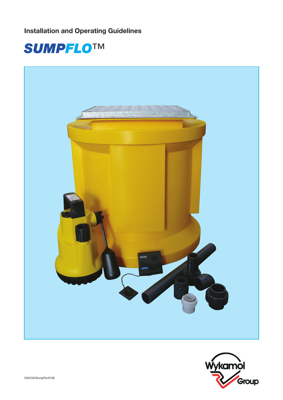Installation and Operating Guidelines





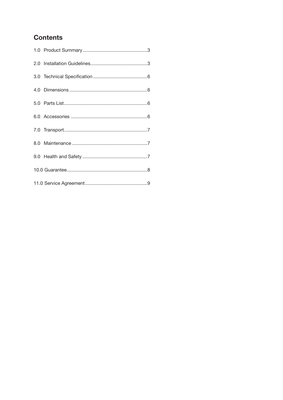## **Contents**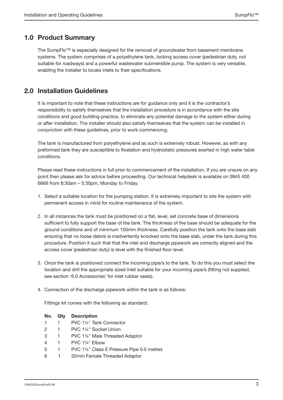## 1.0 Product Summary

The SumpFlo™ is especially designed for the removal of groundwater from basement membrane systems. The system comprises of a polyethylene tank, locking access cover (pedestrian duty, not suitable for roadways) and a powerful wastewater submersible pump. The system is very versatile, enabling the installer to locate inlets to their specifications.

### 2.0 Installation Guidelines

It is important to note that these instructions are for guidance only and it is the contractor's responsibility to satisfy themselves that the installation procedure is in accordance with the site conditions and good building practice, to eliminate any potential damage to the system either during or after installation. The installer should also satisfy themselves that the system can be installed in conjunction with these guidelines, prior to work commencing.

The tank is manufactured from polyethylene and as such is extremely robust. However, as with any preformed tank they are susceptible to floatation and hydrostatic pressures exerted in high water table conditions.

Please read these instructions in full prior to commencement of the installation. If you are unsure on any point then please ask for advice before proceeding. Our technical helpdesk is available on 0845 400 6666 from 8:30am – 5:30pm, Monday to Friday.

- 1. Select a suitable location for the pumping station. It is extremely important to site the system with permanent access in mind for routine maintenance of the system.
- 2. In all instances the tank must be positioned on a flat, level, set concrete base of dimensions sufficient to fully support the base of the tank. The thickness of the base should be adequate for the ground conditions and of minimum 150mm thickness. Carefully position the tank onto the base slab ensuring that no loose debris is inadvertently knocked onto the base slab, under the tank during this procedure. Position it such that that the inlet and discharge pipework are correctly aligned and the access cover (pedestrian duty) is level with the finished floor level.
- 3. Once the tank is positioned connect the incoming pipe/s to the tank. To do this you must select the location and drill the appropriate sized inlet suitable for your incoming pipe/s (fitting not supplied, see section '6.0 Accessories' for inlet rubber seals).
- 4. Connection of the discharge pipework within the tank is as follows:

 Fittings kit comes with the following as standard:

| No. | Qty | <b>Description</b> |
|-----|-----|--------------------|
|-----|-----|--------------------|

- 1 1 PVC 1¼" Tank Connector
- 2 1 PVC 11/4" Socket Union
- 3 1 PVC 1¼" Male Threaded Adaptor
- 4 **1** PVC 11/4" Elbow
- 5 1 PVC 1¼" Class E Pressure Pipe 0.5 metres
- 6 1 32mm Female Threaded Adaptor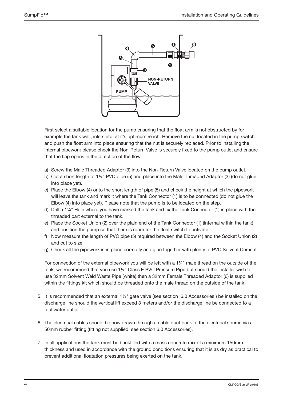

 First select a suitable location for the pump ensuring that the float arm is not obstructed by for example the tank wall, inlets etc, at it's optimum reach. Remove the nut located in the pump switch and push the float arm into place ensuring that the nut is securely replaced. Prior to installing the internal pipework please check the Non-Return Valve is securely fixed to the pump outlet and ensure that the flap opens in the direction of the flow.

- a) Screw the Male Threaded Adaptor (3) into the Non-Return Valve located on the pump outlet.
- b) Cut a short length of 1¼" PVC pipe (5) and place into the Male Threaded Adaptor (3) (do not glue into place yet).
- c) Place the Elbow (4) onto the short length of pipe (5) and check the height at which the pipework will leave the tank and mark it where the Tank Connector (1) is to be connected (do not glue the Elbow (4) into place yet). Please note that the pump is to be located on the step.
- d) Drill a 1¼" Hole where you have marked the tank and fix the Tank Connector (1) in place with the threaded part external to the tank.
- e) Place the Socket Union (2) over the plain end of the Tank Connector (1) (internal within the tank) and position the pump so that there is room for the float switch to activate.
- f) Now measure the length of PVC pipe (5) required between the Elbow (4) and the Socket Union (2) and cut to size.
- g) Check all the pipework is in place correctly and glue together with plenty of PVC Solvent Cement.

 For connection of the external pipework you will be left with a 1¼" male thread on the outside of the tank, we recommend that you use 1¼" Class E PVC Pressure Pipe but should the installer wish to use 32mm Solvent Weld Waste Pipe (white) then a 32mm Female Threaded Adaptor (6) is supplied within the fittings kit which should be threaded onto the male thread on the outside of the tank.

- 5. It is recommended that an external 1¼" gate valve (see section '6.0 Accessories') be installed on the discharge line should the vertical lift exceed 3 meters and/or the discharge line be connected to a foul water outlet.
- 6. The electrical cables should be now drawn through a cable duct back to the electrical source via a 50mm rubber fitting (fitting not supplied, see section 6.0 Accessories).
- 7. In all applications the tank must be backfilled with a mass concrete mix of a minimum 150mm thickness and used in accordance with the ground conditions ensuring that it is as dry as practical to prevent additional floatation pressures being exerted on the tank.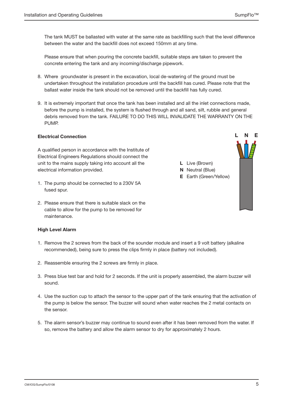The tank MUST be ballasted with water at the same rate as backfilling such that the level difference between the water and the backfill does not exceed 150mm at any time.

 Please ensure that when pouring the concrete backfill, suitable steps are taken to prevent the concrete entering the tank and any incoming/discharge pipework.

- 8. Where groundwater is present in the excavation, local de-watering of the ground must be undertaken throughout the installation procedure until the backfill has cured. Please note that the ballast water inside the tank should not be removed until the backfill has fully cured.
- 9. It is extremely important that once the tank has been installed and all the inlet connections made, before the pump is installed, the system is flushed through and all sand, silt, rubble and general debris removed from the tank. FAILURE TO DO THIS WILL INVALIDATE THE WARRANTY ON THE PUMP.

### Electrical Connection

A qualified person in accordance with the Institute of Electrical Engineers Regulations should connect the unit to the mains supply taking into account all the electrical information provided.

- 1. The pump should be connected to a 230V 5A fused spur.
- 2. Please ensure that there is suitable slack on the cable to allow for the pump to be removed for maintenance.

#### High Level Alarm

- 1. Remove the 2 screws from the back of the sounder module and insert a 9 volt battery (alkaline recommended), being sure to press the clips firmly in place (battery not included).
- 2. Reassemble ensuring the 2 screws are firmly in place.
- 3. Press blue test bar and hold for 2 seconds. If the unit is properly assembled, the alarm buzzer will sound.
- 4. Use the suction cup to attach the sensor to the upper part of the tank ensuring that the activation of the pump is below the sensor. The buzzer will sound when water reaches the 2 metal contacts on the sensor.
- 5. The alarm sensor's buzzer may continue to sound even after it has been removed from the water. If so, remove the battery and allow the alarm sensor to dry for approximately 2 hours.



L N E

L Live (Brown) **N** Neutral (Blue)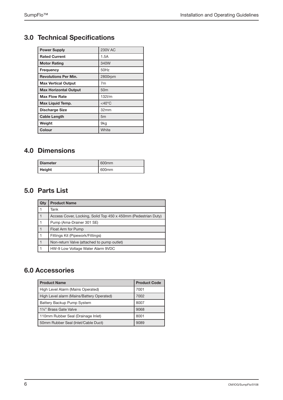# 3.0 Technical Specifications

| <b>Power Supply</b>          | <b>230V AC</b>      |
|------------------------------|---------------------|
| <b>Rated Current</b>         | 1.5A                |
| <b>Motor Rating</b>          | 340W                |
| Frequency                    | 50Hz                |
| <b>Revolutions Per Min.</b>  | 2800rpm             |
| <b>Max Vertical Output</b>   | 7m                  |
| <b>Max Horizontal Output</b> | 50 <sub>m</sub>     |
| <b>Max Flow Rate</b>         | $132$ I/m           |
| Max Liquid Temp.             | $<$ 40 $^{\circ}$ C |
| <b>Discharge Size</b>        | 32mm                |
| <b>Cable Length</b>          | 5 <sub>m</sub>      |
| Weight                       | 9kg                 |
| Colour                       | White               |

## 4.0 Dimensions

| l Diameter | 600 <sub>mm</sub> |
|------------|-------------------|
| Height     | 600 <sub>mm</sub> |

## 5.0 Parts List

| Qty          | <b>Product Name</b>                                            |
|--------------|----------------------------------------------------------------|
| 1            | Tank                                                           |
| 1            | Access Cover, Locking, Solid Top 450 x 450mm (Pedestrian Duty) |
| 1            | Pump (Ama-Drainer 301 SE)                                      |
| 1            | Float Arm for Pump                                             |
| 1            | Fittings Kit (Pipework/Fittings)                               |
| $\mathbf{1}$ | Non-return Valve (attached to pump outlet)                     |
| 1            | HW-9 Low Voltage Water Alarm 9VDC                              |

## 6.0 Accessories

| <b>Product Name</b>                       | <b>Product Code</b> |
|-------------------------------------------|---------------------|
| High Level Alarm (Mains Operated)         | 7001                |
| High Level alarm (Mains/Battery Operated) | 7002                |
| Battery Backup Pump System                | 8007                |
| 11/4" Brass Gate Valve                    | 9068                |
| 110mm Rubber Seal (Drainage Inlet)        | 8001                |
| 50mm Rubber Seal (Inlet/Cable Duct)       | 9089                |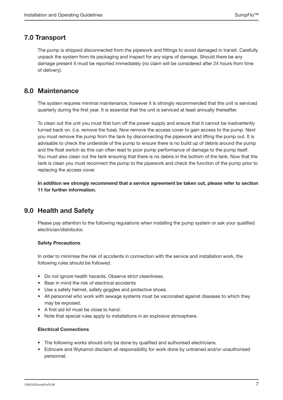### 7.0 Transport

The pump is shipped disconnected from the pipework and fittings to avoid damaged in transit. Carefully unpack the system from its packaging and inspect for any signs of damage. Should there be any damage present it must be reported immediately (no claim will be considered after 24 hours from time of delivery).

### 8.0 Maintenance

The system requires minimal maintenance, however it is strongly recommended that the unit is serviced quarterly during the first year. It is essential that the unit is serviced at least annually thereafter.

To clean out the unit you must first turn off the power supply and ensure that it cannot be inadvertently turned back on. (i.e. remove the fuse). Now remove the access cover to gain access to the pump. Next you must remove the pump from the tank by disconnecting the pipework and lifting the pump out. It is advisable to check the underside of the pump to ensure there is no build up of debris around the pump and the float switch as this can often lead to poor pump performance of damage to the pump itself. You must also clean out the tank ensuring that there is no debris in the bottom of the tank. Now that the tank is clean you must reconnect the pump to the pipework and check the function of the pump prior to replacing the access cover.

In addition we strongly recommend that a service agreement be taken out, please refer to section 11 for further information.

## 9.0 Health and Safety

Please pay attention to the following regulations when installing the pump system or ask your qualified electrician/distributor.

#### Safety Precautions

In order to minimise the risk of accidents in connection with the service and installation work, the following rules should be followed.

- Do not ignore health hazards. Observe strict cleanliness.
- • Bear in mind the risk of electrical accidents
- Use a safety helmet, safety goggles and protective shoes.
- All personnel who work with sewage systems must be vaccinated against diseases to which they may be exposed.
- • A first aid kit must be close to hand.
- Note that special rules apply to installations in an explosive atmosphere.

#### Electrical Connections

- The following works should only be done by qualified and authorised electricians.
- Edincare and Wykamol disclaim all responsibility for work done by untrained and/or unauthorised personnel.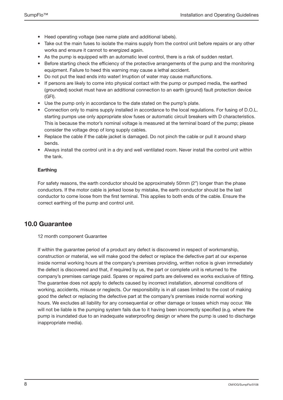- Heed operating voltage (see name plate and additional labels).
- Take out the main fuses to isolate the mains supply from the control unit before repairs or any other works and ensure it cannot to energized again.
- As the pump is equipped with an automatic level control, there is a risk of sudden restart.
- Before starting check the efficiency of the protective arrangements of the pump and the monitoring equipment. Failure to heed this warning may cause a lethal accident.
- Do not put the lead ends into water! Irruption of water may cause malfunctions.
- If persons are likely to come into physical contact with the pump or pumped media, the earthed (grounded) socket must have an additional connection to an earth (ground) fault protection device (GFI).
- Use the pump only in accordance to the date stated on the pump's plate.
- Connection only to mains supply installed in accordance to the local regulations. For fusing of D.O.L. starting pumps use only appropriate slow fuses or automatic circuit breakers with D characteristics. This is because the motor's nominal voltage is measured at the terminal board of the pump; please consider the voltage drop of long supply cables.
- Replace the cable if the cable jacket is damaged. Do not pinch the cable or pull it around sharp bends.
- Always install the control unit in a dry and well ventilated room. Never install the control unit within the tank.

### Earthing

For safety reasons, the earth conductor should be approximately 50mm (2") longer than the phase conductors. If the motor cable is jerked loose by mistake, the earth conductor should be the last conductor to come loose from the first terminal. This applies to both ends of the cable. Ensure the correct earthing of the pump and control unit.

### 10.0 Guarantee

#### 12 month component Guarantee

If within the guarantee period of a product any defect is discovered in respect of workmanship, construction or material, we will make good the defect or replace the defective part at our expense inside normal working hours at the company's premises providing, written notice is given immediately the defect is discovered and that, if required by us, the part or complete unit is returned to the company's premises carriage paid. Spares or repaired parts are delivered ex works exclusive of fitting. The guarantee does not apply to defects caused by incorrect installation, abnormal conditions of working, accidents, misuse or neglects. Our responsibility is in all cases limited to the cost of making good the defect or replacing the defective part at the company's premises inside normal working hours. We excludes all liability for any consequential or other damage or losses which may occur. We will not be liable is the pumping system fails due to it having been incorrectly specified (e.g. where the pump is inundated due to an inadequate waterproofing design or where the pump is used to discharge inappropriate media).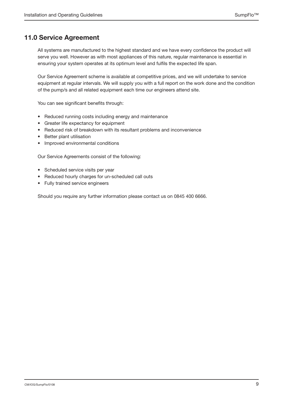## 11.0 Service Agreement

All systems are manufactured to the highest standard and we have every confidence the product will serve you well. However as with most appliances of this nature, regular maintenance is essential in ensuring your system operates at its optimum level and fulfils the expected life span.

Our Service Agreement scheme is available at competitive prices, and we will undertake to service equipment at regular intervals. We will supply you with a full report on the work done and the condition of the pump/s and all related equipment each time our engineers attend site.

You can see significant benefits through:

- • Reduced running costs including energy and maintenance
- • Greater life expectancy for equipment
- Reduced risk of breakdown with its resultant problems and inconvenience
- • Better plant utilisation
- • Improved environmental conditions

Our Service Agreements consist of the following:

- Scheduled service visits per year
- Reduced hourly charges for un-scheduled call outs
- Fully trained service engineers

Should you require any further information please contact us on 0845 400 6666.